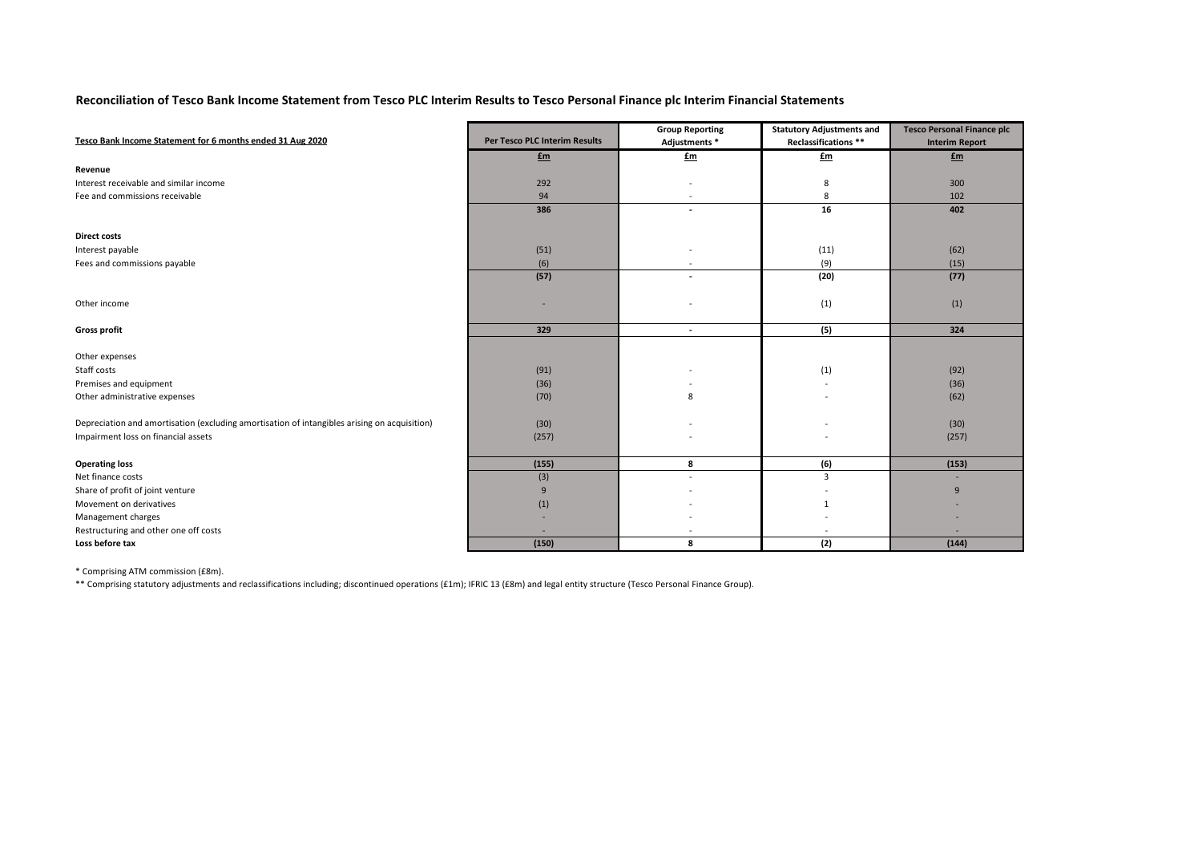## **Reconciliation of Tesco Bank Income Statement from Tesco PLC Interim Results to Tesco Personal Finance plc Interim Financial Statements**

| Tesco Bank Income Statement for 6 months ended 31 Aug 2020                                   | Per Tesco PLC Interim Results | <b>Group Reporting</b><br>Adjustments * | <b>Statutory Adjustments and</b><br>Reclassifications ** | <b>Tesco Personal Finance plc</b><br><b>Interim Report</b> |
|----------------------------------------------------------------------------------------------|-------------------------------|-----------------------------------------|----------------------------------------------------------|------------------------------------------------------------|
|                                                                                              | £m                            | £m                                      | £m                                                       | £m                                                         |
| Revenue                                                                                      |                               |                                         |                                                          |                                                            |
| Interest receivable and similar income                                                       | 292                           |                                         | 8                                                        | 300                                                        |
| Fee and commissions receivable                                                               | 94                            | $\overline{\phantom{a}}$                | 8                                                        | 102                                                        |
|                                                                                              | 386                           | $\blacksquare$                          | 16                                                       | 402                                                        |
| <b>Direct costs</b>                                                                          |                               |                                         |                                                          |                                                            |
| Interest payable                                                                             | (51)                          |                                         | (11)                                                     | (62)                                                       |
| Fees and commissions payable                                                                 | (6)                           |                                         | (9)                                                      | (15)                                                       |
|                                                                                              | (57)                          |                                         | (20)                                                     | (77)                                                       |
| Other income                                                                                 |                               |                                         | (1)                                                      | (1)                                                        |
| <b>Gross profit</b>                                                                          | 329                           | $\blacksquare$                          | (5)                                                      | 324                                                        |
| Other expenses                                                                               |                               |                                         |                                                          |                                                            |
| Staff costs                                                                                  | (91)                          |                                         | (1)                                                      | (92)                                                       |
| Premises and equipment                                                                       | (36)                          |                                         |                                                          | (36)                                                       |
| Other administrative expenses                                                                | (70)                          | 8                                       |                                                          | (62)                                                       |
| Depreciation and amortisation (excluding amortisation of intangibles arising on acquisition) |                               |                                         |                                                          |                                                            |
|                                                                                              | (30)                          |                                         |                                                          | (30)                                                       |
| Impairment loss on financial assets                                                          | (257)                         |                                         |                                                          | (257)                                                      |
| <b>Operating loss</b>                                                                        | (155)                         | 8                                       | (6)                                                      | (153)                                                      |
| Net finance costs                                                                            | (3)                           |                                         | $\overline{3}$                                           |                                                            |
| Share of profit of joint venture                                                             | 9                             |                                         |                                                          | 9                                                          |
| Movement on derivatives                                                                      | (1)                           |                                         | $\mathbf{1}$                                             |                                                            |
| Management charges                                                                           |                               |                                         |                                                          |                                                            |
| Restructuring and other one off costs                                                        |                               |                                         |                                                          |                                                            |
| Loss before tax                                                                              | (150)                         | 8                                       | (2)                                                      | (144)                                                      |

\* Comprising ATM commission (£8m).

\*\* Comprising statutory adjustments and reclassifications including; discontinued operations (£1m); IFRIC 13 (£8m) and legal entity structure (Tesco Personal Finance Group).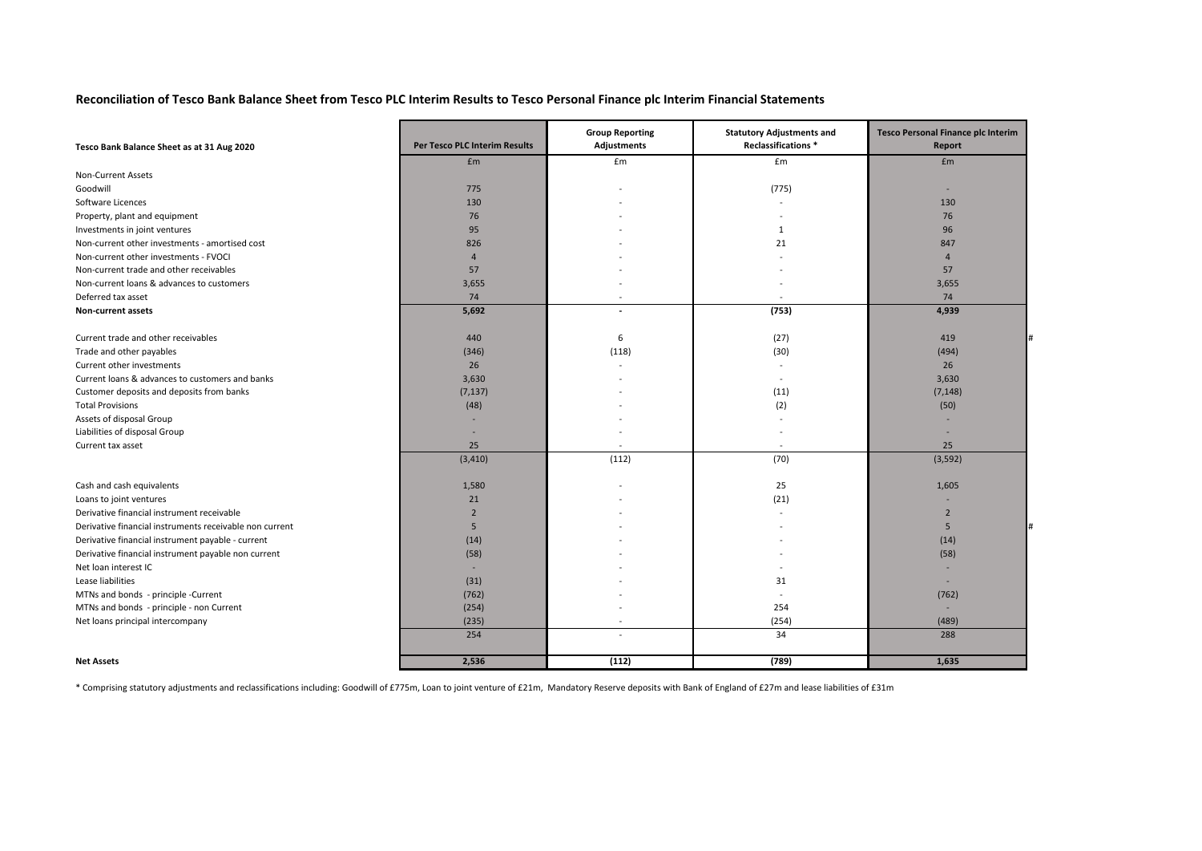## **Reconciliation of Tesco Bank Balance Sheet from Tesco PLC Interim Results to Tesco Personal Finance plc Interim Financial Statements**

| Tesco Bank Balance Sheet as at 31 Aug 2020              | Per Tesco PLC Interim Results | <b>Group Reporting</b><br>Adjustments | <b>Statutory Adjustments and</b><br>Reclassifications * | <b>Tesco Personal Finance plc Interim</b><br>Report |
|---------------------------------------------------------|-------------------------------|---------------------------------------|---------------------------------------------------------|-----------------------------------------------------|
|                                                         | £m                            | £m                                    | £m                                                      | £m                                                  |
| Non-Current Assets                                      |                               |                                       |                                                         |                                                     |
| Goodwill                                                | 775                           |                                       | (775)                                                   | ×.                                                  |
| Software Licences                                       | 130                           |                                       |                                                         | 130                                                 |
| Property, plant and equipment                           | 76                            |                                       |                                                         | 76                                                  |
| Investments in joint ventures                           | 95                            |                                       | 1                                                       | 96                                                  |
| Non-current other investments - amortised cost          | 826                           |                                       | 21                                                      | 847                                                 |
| Non-current other investments - FVOCI                   | $\overline{A}$                |                                       |                                                         | $\overline{4}$                                      |
| Non-current trade and other receivables                 | 57                            |                                       |                                                         | 57                                                  |
| Non-current loans & advances to customers               | 3,655                         |                                       |                                                         | 3,655                                               |
| Deferred tax asset                                      | 74                            | $\overline{a}$                        | $\overline{\phantom{a}}$                                | 74                                                  |
| Non-current assets                                      | 5,692                         | $\overline{\phantom{a}}$              | (753)                                                   | 4,939                                               |
|                                                         |                               |                                       |                                                         |                                                     |
| Current trade and other receivables                     | 440                           | 6                                     | (27)                                                    | 419                                                 |
| Trade and other payables                                | (346)                         | (118)                                 | (30)                                                    | (494)                                               |
| Current other investments                               | 26                            |                                       | $\overline{\phantom{a}}$                                | 26                                                  |
| Current loans & advances to customers and banks         | 3,630                         |                                       | $\blacksquare$                                          | 3,630                                               |
| Customer deposits and deposits from banks               | (7, 137)                      |                                       | (11)                                                    | (7, 148)                                            |
| <b>Total Provisions</b>                                 | (48)                          |                                       | (2)                                                     | (50)                                                |
| Assets of disposal Group                                |                               |                                       |                                                         |                                                     |
| Liabilities of disposal Group                           |                               |                                       |                                                         |                                                     |
| Current tax asset                                       | 25                            | $\sim$                                | $\sim$                                                  | 25                                                  |
|                                                         | (3, 410)                      | (112)                                 | (70)                                                    | (3, 592)                                            |
| Cash and cash equivalents                               | 1,580                         |                                       | 25                                                      | 1,605                                               |
| Loans to joint ventures                                 | 21                            |                                       | (21)                                                    |                                                     |
| Derivative financial instrument receivable              | $\overline{2}$                |                                       |                                                         | $\overline{2}$                                      |
| Derivative financial instruments receivable non current | 5                             |                                       |                                                         | 5                                                   |
| Derivative financial instrument payable - current       | (14)                          |                                       |                                                         | (14)                                                |
| Derivative financial instrument payable non current     | (58)                          |                                       |                                                         | (58)                                                |
| Net loan interest IC                                    | $\sim$                        |                                       |                                                         |                                                     |
| Lease liabilities                                       | (31)                          |                                       | 31                                                      |                                                     |
| MTNs and bonds - principle -Current                     | (762)                         |                                       |                                                         | (762)                                               |
| MTNs and bonds - principle - non Current                | (254)                         |                                       | 254                                                     | ÷                                                   |
| Net loans principal intercompany                        | (235)                         |                                       | (254)                                                   | (489)                                               |
|                                                         | 254                           | $\overline{a}$                        | 34                                                      | 288                                                 |
| <b>Net Assets</b>                                       | 2.536                         | (112)                                 | (789)                                                   | 1,635                                               |

\* Comprising statutory adjustments and reclassifications including: Goodwill of £775m, Loan to joint venture of £21m, Mandatory Reserve deposits with Bank of England of £27m and lease liabilities of £31m